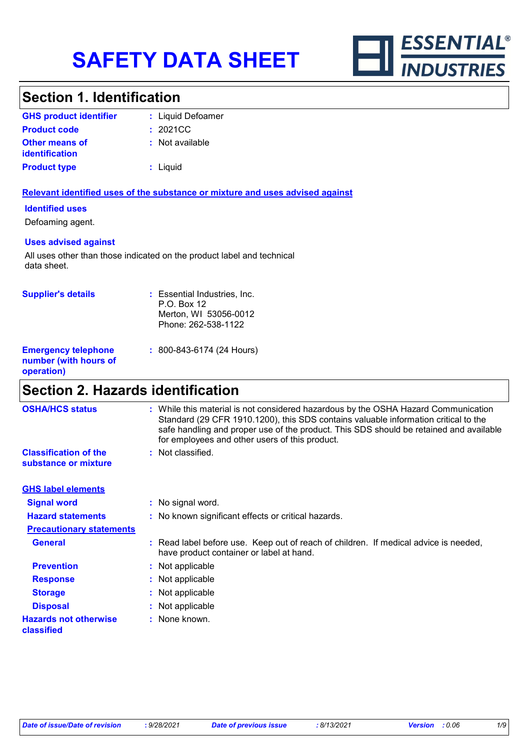

# **Section 1. Identification**

| <b>GHS product identifier</b>                  | : Liquid Defoamer |
|------------------------------------------------|-------------------|
| <b>Product code</b>                            | : 2021CC          |
| <b>Other means of</b><br><b>identification</b> | : Not available   |
| <b>Product type</b>                            | : Liquid          |

### **Relevant identified uses of the substance or mixture and uses advised against**

### **Identified uses**

Defoaming agent.

### **Uses advised against**

All uses other than those indicated on the product label and technical data sheet.

| <b>Supplier's details</b>                                         | : Essential Industries, Inc.<br>P.O. Box 12<br>Merton, WI 53056-0012<br>Phone: 262-538-1122 |
|-------------------------------------------------------------------|---------------------------------------------------------------------------------------------|
| <b>Emergency telephone</b><br>number (with hours of<br>operation) | $: 800 - 843 - 6174$ (24 Hours)                                                             |

# **Section 2. Hazards identification**

| <b>OSHA/HCS status</b>                               | : While this material is not considered hazardous by the OSHA Hazard Communication<br>Standard (29 CFR 1910.1200), this SDS contains valuable information critical to the<br>safe handling and proper use of the product. This SDS should be retained and available<br>for employees and other users of this product. |
|------------------------------------------------------|-----------------------------------------------------------------------------------------------------------------------------------------------------------------------------------------------------------------------------------------------------------------------------------------------------------------------|
| <b>Classification of the</b><br>substance or mixture | : Not classified.                                                                                                                                                                                                                                                                                                     |
| <b>GHS label elements</b>                            |                                                                                                                                                                                                                                                                                                                       |
| <b>Signal word</b>                                   | : No signal word.                                                                                                                                                                                                                                                                                                     |
| <b>Hazard statements</b>                             | : No known significant effects or critical hazards.                                                                                                                                                                                                                                                                   |
| <b>Precautionary statements</b>                      |                                                                                                                                                                                                                                                                                                                       |
| <b>General</b>                                       | : Read label before use. Keep out of reach of children. If medical advice is needed,<br>have product container or label at hand.                                                                                                                                                                                      |
| <b>Prevention</b>                                    | : Not applicable                                                                                                                                                                                                                                                                                                      |
| <b>Response</b>                                      | : Not applicable                                                                                                                                                                                                                                                                                                      |
| <b>Storage</b>                                       | : Not applicable                                                                                                                                                                                                                                                                                                      |
| <b>Disposal</b>                                      | : Not applicable                                                                                                                                                                                                                                                                                                      |
| <b>Hazards not otherwise</b><br>classified           | : None known.                                                                                                                                                                                                                                                                                                         |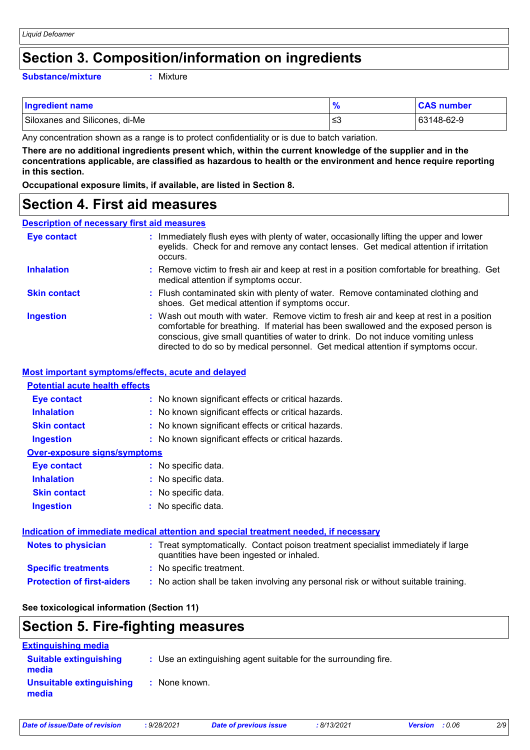### **Section 3. Composition/information on ingredients**

#### **Substance/mixture :**

: Mixture

| <b>Ingredient name</b>         |    | <b>CAS number</b> |
|--------------------------------|----|-------------------|
| Siloxanes and Silicones, di-Me | ≲3 | 63148-62-9        |

Any concentration shown as a range is to protect confidentiality or is due to batch variation.

**There are no additional ingredients present which, within the current knowledge of the supplier and in the concentrations applicable, are classified as hazardous to health or the environment and hence require reporting in this section.**

**Occupational exposure limits, if available, are listed in Section 8.**

### **Section 4. First aid measures**

### **Description of necessary first aid measures**

| <b>Eye contact</b>  | : Immediately flush eyes with plenty of water, occasionally lifting the upper and lower<br>eyelids. Check for and remove any contact lenses. Get medical attention if irritation<br>occurs.                                                                                                                                                            |
|---------------------|--------------------------------------------------------------------------------------------------------------------------------------------------------------------------------------------------------------------------------------------------------------------------------------------------------------------------------------------------------|
| <b>Inhalation</b>   | : Remove victim to fresh air and keep at rest in a position comfortable for breathing. Get<br>medical attention if symptoms occur.                                                                                                                                                                                                                     |
| <b>Skin contact</b> | : Flush contaminated skin with plenty of water. Remove contaminated clothing and<br>shoes. Get medical attention if symptoms occur.                                                                                                                                                                                                                    |
| <b>Ingestion</b>    | : Wash out mouth with water. Remove victim to fresh air and keep at rest in a position<br>comfortable for breathing. If material has been swallowed and the exposed person is<br>conscious, give small quantities of water to drink. Do not induce vomiting unless<br>directed to do so by medical personnel. Get medical attention if symptoms occur. |

#### **Most important symptoms/effects, acute and delayed**

### **Inhalation <b>:** No known significant effects or critical hazards. **Ingestion :** No known significant effects or critical hazards. **Skin contact :** No known significant effects or critical hazards. **Eye contact :** No known significant effects or critical hazards. **Over-exposure signs/symptoms Skin contact Ingestion Inhalation :** No specific data. No specific data. **:** No specific data. **: Eye contact :** No specific data. **Potential acute health effects Indication of immediate medical attention and special treatment needed, if necessary**

### **Protection of first-aiders :** No action shall be taken involving any personal risk or without suitable training. **Notes to physician <b>:** Treat symptomatically. Contact poison treatment specialist immediately if large quantities have been ingested or inhaled. **Specific treatments :** No specific treatment.

#### **See toxicological information (Section 11)**

# **Section 5. Fire-fighting measures**

| <b>Extinguishing media</b>             |                                                                 |
|----------------------------------------|-----------------------------------------------------------------|
| <b>Suitable extinguishing</b><br>media | : Use an extinguishing agent suitable for the surrounding fire. |
| Unsuitable extinguishing<br>media      | : None known.                                                   |

|  | Date of issue/Date of revision |  |
|--|--------------------------------|--|
|  |                                |  |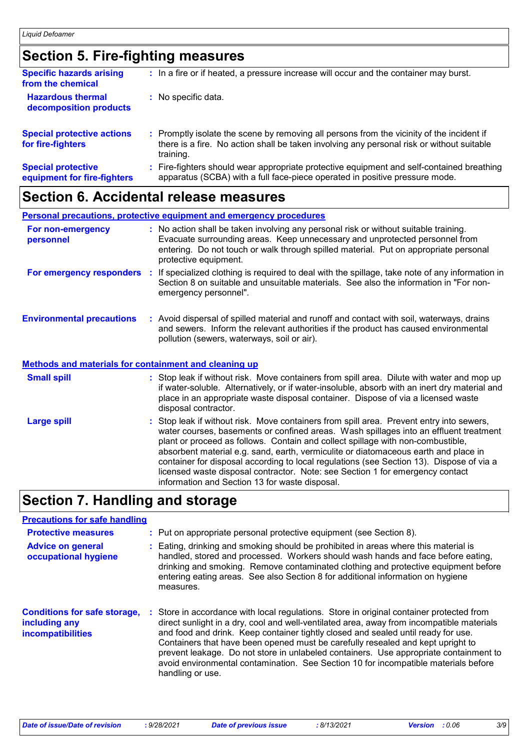# **Section 5. Fire-fighting measures**

| <b>Specific hazards arising</b><br>from the chemical     | : In a fire or if heated, a pressure increase will occur and the container may burst.                                                                                                               |
|----------------------------------------------------------|-----------------------------------------------------------------------------------------------------------------------------------------------------------------------------------------------------|
| <b>Hazardous thermal</b><br>decomposition products       | : No specific data.                                                                                                                                                                                 |
| <b>Special protective actions</b><br>for fire-fighters   | : Promptly isolate the scene by removing all persons from the vicinity of the incident if<br>there is a fire. No action shall be taken involving any personal risk or without suitable<br>training. |
| <b>Special protective</b><br>equipment for fire-fighters | : Fire-fighters should wear appropriate protective equipment and self-contained breathing<br>apparatus (SCBA) with a full face-piece operated in positive pressure mode.                            |

# **Section 6. Accidental release measures**

|                                                       | <b>Personal precautions, protective equipment and emergency procedures</b>                                                                                                                                                                                                           |
|-------------------------------------------------------|--------------------------------------------------------------------------------------------------------------------------------------------------------------------------------------------------------------------------------------------------------------------------------------|
| For non-emergency<br>personnel                        | : No action shall be taken involving any personal risk or without suitable training.<br>Evacuate surrounding areas. Keep unnecessary and unprotected personnel from<br>entering. Do not touch or walk through spilled material. Put on appropriate personal<br>protective equipment. |
| For emergency responders                              | : If specialized clothing is required to deal with the spillage, take note of any information in<br>Section 8 on suitable and unsuitable materials. See also the information in "For non-<br>emergency personnel".                                                                   |
| <b>Environmental precautions</b>                      | : Avoid dispersal of spilled material and runoff and contact with soil, waterways, drains<br>and sewers. Inform the relevant authorities if the product has caused environmental<br>pollution (sewers, waterways, soil or air).                                                      |
| Methods and materials for containment and cleaning up |                                                                                                                                                                                                                                                                                      |
| <b>Small spill</b>                                    | : Stop leak if without risk. Move containers from spill area. Dilute with water and mop up<br>if water-soluble. Alternatively, or if water-insoluble, absorb with an inert dry material and<br>place in an appropriate waste disposal container. Dispose of via a licensed waste     |

|                    | disposal contractor.                                                                                                                                                                                                                                                                                                                                                                                                                                                                                                                                                                       |
|--------------------|--------------------------------------------------------------------------------------------------------------------------------------------------------------------------------------------------------------------------------------------------------------------------------------------------------------------------------------------------------------------------------------------------------------------------------------------------------------------------------------------------------------------------------------------------------------------------------------------|
| <b>Large spill</b> | : Stop leak if without risk. Move containers from spill area. Prevent entry into sewers,<br>water courses, basements or confined areas. Wash spillages into an effluent treatment<br>plant or proceed as follows. Contain and collect spillage with non-combustible,<br>absorbent material e.g. sand, earth, vermiculite or diatomaceous earth and place in<br>container for disposal according to local regulations (see Section 13). Dispose of via a<br>licensed waste disposal contractor. Note: see Section 1 for emergency contact<br>information and Section 13 for waste disposal. |
|                    |                                                                                                                                                                                                                                                                                                                                                                                                                                                                                                                                                                                            |

# **Section 7. Handling and storage**

### **Precautions for safe handling**

| <b>Protective measures</b><br><b>Advice on general</b><br>occupational hygiene   |    | : Put on appropriate personal protective equipment (see Section 8).<br>: Eating, drinking and smoking should be prohibited in areas where this material is<br>handled, stored and processed. Workers should wash hands and face before eating,<br>drinking and smoking. Remove contaminated clothing and protective equipment before<br>entering eating areas. See also Section 8 for additional information on hygiene<br>measures.                                                                                                                            |
|----------------------------------------------------------------------------------|----|-----------------------------------------------------------------------------------------------------------------------------------------------------------------------------------------------------------------------------------------------------------------------------------------------------------------------------------------------------------------------------------------------------------------------------------------------------------------------------------------------------------------------------------------------------------------|
| <b>Conditions for safe storage,</b><br>including any<br><b>incompatibilities</b> | ÷. | Store in accordance with local regulations. Store in original container protected from<br>direct sunlight in a dry, cool and well-ventilated area, away from incompatible materials<br>and food and drink. Keep container tightly closed and sealed until ready for use.<br>Containers that have been opened must be carefully resealed and kept upright to<br>prevent leakage. Do not store in unlabeled containers. Use appropriate containment to<br>avoid environmental contamination. See Section 10 for incompatible materials before<br>handling or use. |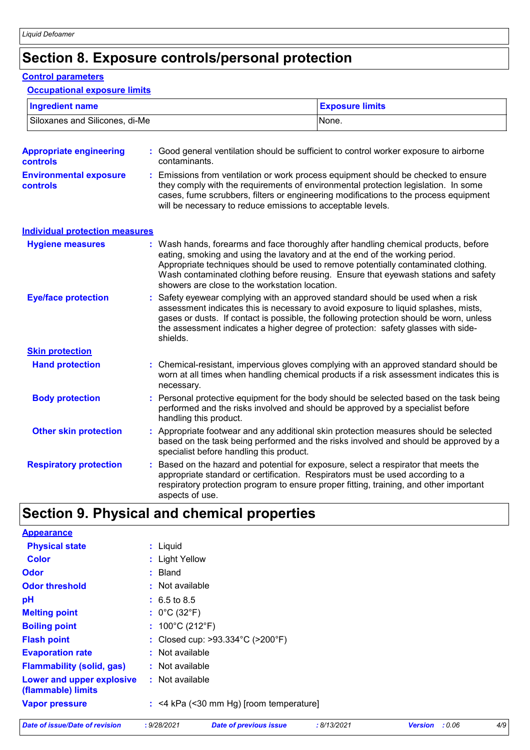# **Section 8. Exposure controls/personal protection**

#### **Control parameters**

### **Occupational exposure limits**

| <b>Ingredient name</b>         | <b>Exposure limits</b> |
|--------------------------------|------------------------|
| Siloxanes and Silicones, di-Me | None.                  |

| <b>Appropriate engineering</b><br><b>controls</b> | : Good general ventilation should be sufficient to control worker exposure to airborne<br>contaminants.                                                                                                                                                                                                                                                                                           |  |
|---------------------------------------------------|---------------------------------------------------------------------------------------------------------------------------------------------------------------------------------------------------------------------------------------------------------------------------------------------------------------------------------------------------------------------------------------------------|--|
| <b>Environmental exposure</b><br><b>controls</b>  | Emissions from ventilation or work process equipment should be checked to ensure<br>they comply with the requirements of environmental protection legislation. In some<br>cases, fume scrubbers, filters or engineering modifications to the process equipment<br>will be necessary to reduce emissions to acceptable levels.                                                                     |  |
| <b>Individual protection measures</b>             |                                                                                                                                                                                                                                                                                                                                                                                                   |  |
| <b>Hygiene measures</b>                           | : Wash hands, forearms and face thoroughly after handling chemical products, before<br>eating, smoking and using the lavatory and at the end of the working period.<br>Appropriate techniques should be used to remove potentially contaminated clothing.<br>Wash contaminated clothing before reusing. Ensure that eyewash stations and safety<br>showers are close to the workstation location. |  |
| <b>Eye/face protection</b>                        | : Safety eyewear complying with an approved standard should be used when a risk<br>assessment indicates this is necessary to avoid exposure to liquid splashes, mists,<br>gases or dusts. If contact is possible, the following protection should be worn, unless<br>the assessment indicates a higher degree of protection: safety glasses with side-<br>shields.                                |  |
| <b>Skin protection</b>                            |                                                                                                                                                                                                                                                                                                                                                                                                   |  |
| <b>Hand protection</b>                            | : Chemical-resistant, impervious gloves complying with an approved standard should be<br>worn at all times when handling chemical products if a risk assessment indicates this is<br>necessary.                                                                                                                                                                                                   |  |
| <b>Body protection</b>                            | Personal protective equipment for the body should be selected based on the task being<br>performed and the risks involved and should be approved by a specialist before<br>handling this product.                                                                                                                                                                                                 |  |
| <b>Other skin protection</b>                      | Appropriate footwear and any additional skin protection measures should be selected<br>based on the task being performed and the risks involved and should be approved by a<br>specialist before handling this product.                                                                                                                                                                           |  |
| <b>Respiratory protection</b>                     | Based on the hazard and potential for exposure, select a respirator that meets the<br>appropriate standard or certification. Respirators must be used according to a<br>respiratory protection program to ensure proper fitting, training, and other important<br>aspects of use.                                                                                                                 |  |

# **Section 9. Physical and chemical properties**

| <b>Appearance</b>                               |                                                       |
|-------------------------------------------------|-------------------------------------------------------|
| <b>Physical state</b>                           | : Liquid                                              |
| <b>Color</b>                                    | : Light Yellow                                        |
| <b>Odor</b>                                     | $:$ Bland                                             |
| <b>Odor threshold</b>                           | : Not available                                       |
| pH                                              | $: 6.5 \text{ to } 8.5$                               |
| <b>Melting point</b>                            | : $0^{\circ}$ C (32 $^{\circ}$ F)                     |
| <b>Boiling point</b>                            | : $100^{\circ}$ C (212 $^{\circ}$ F)                  |
| <b>Flash point</b>                              | : Closed cup: $>93.334^{\circ}$ C ( $>200^{\circ}$ F) |
| <b>Evaporation rate</b>                         | : Not available                                       |
| <b>Flammability (solid, gas)</b>                | : Not available                                       |
| Lower and upper explosive<br>(flammable) limits | : Not available                                       |
| <b>Vapor pressure</b>                           | $:$ <4 kPa (<30 mm Hg) [room temperature]             |
|                                                 |                                                       |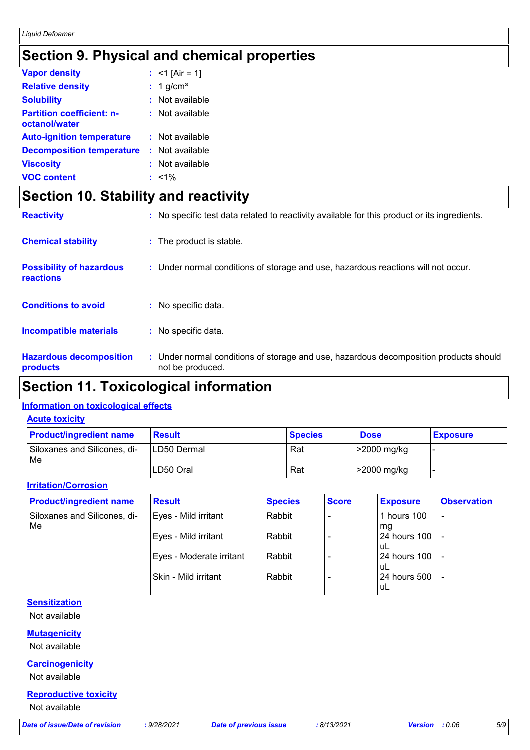# **Section 9. Physical and chemical properties**

| <b>Vapor density</b>                              | : <1 [Air = 1]          |
|---------------------------------------------------|-------------------------|
| <b>Relative density</b>                           | $: 1$ g/cm <sup>3</sup> |
| <b>Solubility</b>                                 | : Not available         |
| <b>Partition coefficient: n-</b><br>octanol/water | : Not available         |
| <b>Auto-ignition temperature</b>                  | : Not available         |
| <b>Decomposition temperature</b>                  | : Not available         |
| <b>Viscosity</b>                                  | : Not available         |
| <b>VOC content</b>                                | $: 1\%$                 |

# **Section 10. Stability and reactivity**

| <b>Reactivity</b>                                   | : No specific test data related to reactivity available for this product or its ingredients.              |
|-----------------------------------------------------|-----------------------------------------------------------------------------------------------------------|
| <b>Chemical stability</b>                           | : The product is stable.                                                                                  |
| <b>Possibility of hazardous</b><br><b>reactions</b> | : Under normal conditions of storage and use, hazardous reactions will not occur.                         |
| <b>Conditions to avoid</b>                          | : No specific data.                                                                                       |
| <b>Incompatible materials</b>                       | : No specific data.                                                                                       |
| <b>Hazardous decomposition</b><br>products          | : Under normal conditions of storage and use, hazardous decomposition products should<br>not be produced. |

# **Section 11. Toxicological information**

### **Information on toxicological effects**

#### **Acute toxicity**

| <b>Product/ingredient name</b>      | <b>Result</b>       | <b>Species</b> | <b>Dose</b> | <b>Exposure</b> |
|-------------------------------------|---------------------|----------------|-------------|-----------------|
| Siloxanes and Silicones, di-<br> Me | <b>ILD50 Dermal</b> | Rat            | >2000 mg/kg |                 |
|                                     | LD50 Oral           | Rat            | >2000 mg/kg |                 |

### **Irritation/Corrosion**

| <b>Product/ingredient name</b>            | <b>Result</b>            | <b>Species</b> | <b>Score</b> | <b>Exposure</b>           | <b>Observation</b>       |
|-------------------------------------------|--------------------------|----------------|--------------|---------------------------|--------------------------|
| Siloxanes and Silicones, di-<br><b>Me</b> | Eyes - Mild irritant     | Rabbit         |              | hours 100<br>mg           | $\overline{\phantom{a}}$ |
|                                           | Eyes - Mild irritant     | Rabbit         |              | 24 hours 100<br>±uL       |                          |
|                                           | Eyes - Moderate irritant | Rabbit         |              | 24 hours 100<br>uL        |                          |
|                                           | Skin - Mild irritant     | Rabbit         |              | <b>24 hours 500</b><br>uL |                          |

### **Sensitization**

Not available

### **Mutagenicity**

Not available

### **Carcinogenicity**

Not available

### **Reproductive toxicity**

Not available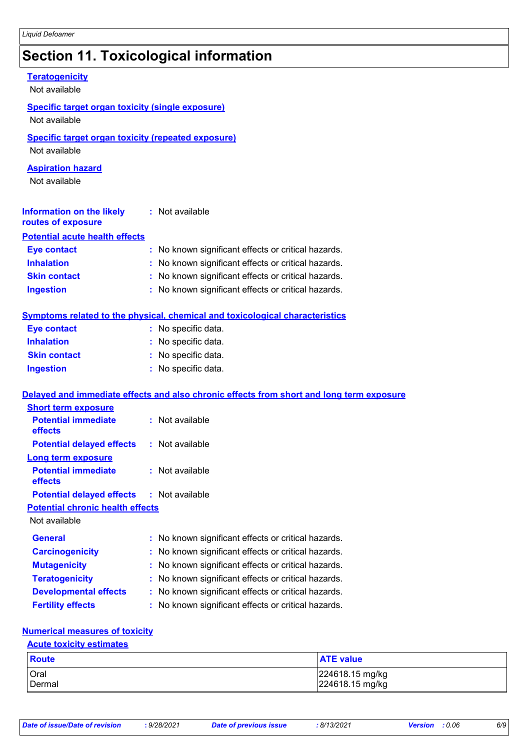# **Section 11. Toxicological information**

| <b>Teratogenicity</b><br>Not available                                     |                                                                                          |
|----------------------------------------------------------------------------|------------------------------------------------------------------------------------------|
| <b>Specific target organ toxicity (single exposure)</b><br>Not available   |                                                                                          |
| <b>Specific target organ toxicity (repeated exposure)</b><br>Not available |                                                                                          |
| <b>Aspiration hazard</b><br>Not available                                  |                                                                                          |
| <b>Information on the likely</b><br>routes of exposure                     | : Not available                                                                          |
| <b>Potential acute health effects</b>                                      |                                                                                          |
| <b>Eye contact</b>                                                         | : No known significant effects or critical hazards.                                      |
| <b>Inhalation</b>                                                          | : No known significant effects or critical hazards.                                      |
| <b>Skin contact</b>                                                        | : No known significant effects or critical hazards.                                      |
| <b>Ingestion</b>                                                           | : No known significant effects or critical hazards.                                      |
|                                                                            | <b>Symptoms related to the physical, chemical and toxicological characteristics</b>      |
| <b>Eye contact</b>                                                         | : No specific data.                                                                      |
| <b>Inhalation</b>                                                          | : No specific data.                                                                      |
| <b>Skin contact</b>                                                        | : No specific data.                                                                      |
| <b>Ingestion</b>                                                           | : No specific data.                                                                      |
|                                                                            | Delayed and immediate effects and also chronic effects from short and long term exposure |
| <b>Short term exposure</b>                                                 |                                                                                          |
| <b>Potential immediate</b><br>effects                                      | : Not available                                                                          |
| <b>Potential delayed effects</b>                                           | : Not available                                                                          |
| <b>Long term exposure</b>                                                  |                                                                                          |
| <b>Potential immediate</b><br>effects                                      | : Not available                                                                          |
| <b>Potential delayed effects</b>                                           | : Not available                                                                          |
| <b>Potential chronic health effects</b>                                    |                                                                                          |
| Not available                                                              |                                                                                          |
| <b>General</b>                                                             | : No known significant effects or critical hazards.                                      |
| <b>Carcinogenicity</b>                                                     | No known significant effects or critical hazards.                                        |
| <b>Mutagenicity</b>                                                        | No known significant effects or critical hazards.                                        |
| <b>Teratogenicity</b>                                                      | No known significant effects or critical hazards.                                        |
| <b>Developmental effects</b>                                               | No known significant effects or critical hazards.                                        |
| <b>Fertility effects</b>                                                   | : No known significant effects or critical hazards.                                      |
| <b>Numerical measures of toxicity</b>                                      |                                                                                          |

# **Acute toxicity estimates**

| <b>Route</b> | <b>ATE value</b> |
|--------------|------------------|
| Oral         | 224618.15 mg/kg  |
| Dermal       | 224618.15 mg/kg  |

| Date of issue/Date of revision |  |
|--------------------------------|--|
|--------------------------------|--|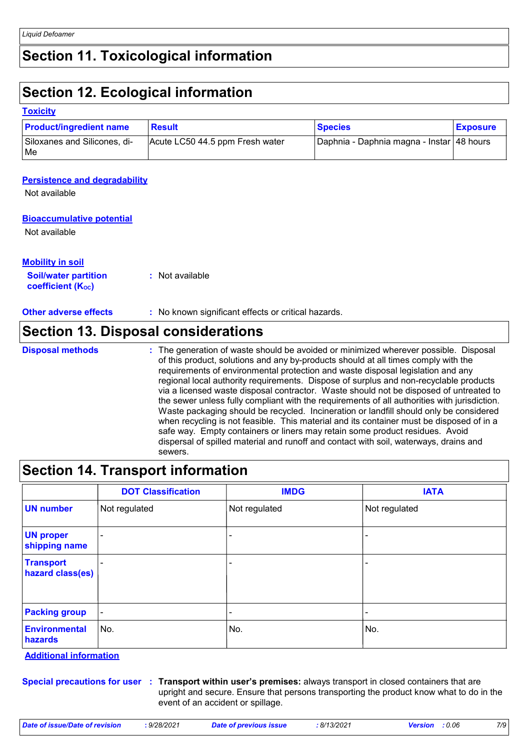# **Section 11. Toxicological information**

# **Section 12. Ecological information**

#### **Toxicity**

| <b>Product/ingredient name</b>      | Result                          | <b>Species</b>                              | <b>Exposure</b> |
|-------------------------------------|---------------------------------|---------------------------------------------|-----------------|
| Siloxanes and Silicones, di-<br> Me | Acute LC50 44.5 ppm Fresh water | Daphnia - Daphnia magna - Instar   48 hours |                 |

#### **Persistence and degradability**

Not available

### **Bioaccumulative potential**

Not available

#### **Soil/water partition coefficient (KOC) :** Not available **Mobility in soil**

**Other adverse effects** : No known significant effects or critical hazards.

### **Section 13. Disposal considerations**

**Disposal methods :**

The generation of waste should be avoided or minimized wherever possible. Disposal of this product, solutions and any by-products should at all times comply with the requirements of environmental protection and waste disposal legislation and any regional local authority requirements. Dispose of surplus and non-recyclable products via a licensed waste disposal contractor. Waste should not be disposed of untreated to the sewer unless fully compliant with the requirements of all authorities with jurisdiction. Waste packaging should be recycled. Incineration or landfill should only be considered when recycling is not feasible. This material and its container must be disposed of in a safe way. Empty containers or liners may retain some product residues. Avoid dispersal of spilled material and runoff and contact with soil, waterways, drains and sewers.

# **Section 14. Transport information**

|                                      | <b>DOT Classification</b> | <b>IMDG</b>   | <b>IATA</b>              |
|--------------------------------------|---------------------------|---------------|--------------------------|
| <b>UN number</b>                     | Not regulated             | Not regulated | Not regulated            |
| <b>UN proper</b><br>shipping name    | $\blacksquare$            |               |                          |
| <b>Transport</b><br>hazard class(es) | $\sim$                    | -             | -                        |
| <b>Packing group</b>                 | $\blacksquare$            | ۰             | $\overline{\phantom{0}}$ |
| <b>Environmental</b><br>hazards      | No.                       | No.           | No.                      |

**Additional information**

**Special precautions for user Transport within user's premises:** always transport in closed containers that are **:** upright and secure. Ensure that persons transporting the product know what to do in the event of an accident or spillage.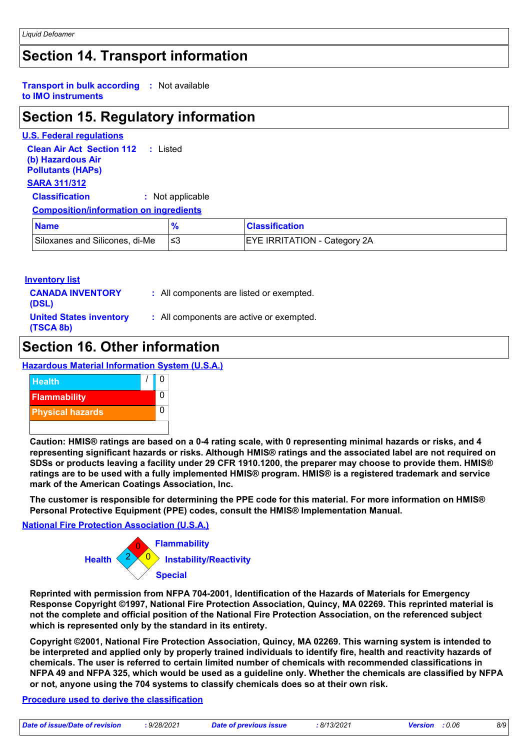# **Section 14. Transport information**

#### **Transport in bulk according :** Not available **to IMO instruments**

# **Section 15. Regulatory information**

**U.S. Federal regulations Clean Air Act Section 112 (b) Hazardous Air Pollutants (HAPs) :** Listed **SARA 311/312 Classification :** Not applicable **Composition/information on ingredients**

| <b>Name</b>                    | <b>Classification</b>               |
|--------------------------------|-------------------------------------|
| Siloxanes and Silicones, di-Me | <b>EYE IRRITATION - Category 2A</b> |

### **Inventory list**

| <b>CANADA INVENTORY</b><br>(DSL)            | : All components are listed or exempted. |
|---------------------------------------------|------------------------------------------|
| <b>United States inventory</b><br>(TSCA 8b) | : All components are active or exempted. |

### **Section 16. Other information**

**Hazardous Material Information System (U.S.A.)**



**Caution: HMIS® ratings are based on a 0-4 rating scale, with 0 representing minimal hazards or risks, and 4 representing significant hazards or risks. Although HMIS® ratings and the associated label are not required on SDSs or products leaving a facility under 29 CFR 1910.1200, the preparer may choose to provide them. HMIS® ratings are to be used with a fully implemented HMIS® program. HMIS® is a registered trademark and service mark of the American Coatings Association, Inc.**

**The customer is responsible for determining the PPE code for this material. For more information on HMIS® Personal Protective Equipment (PPE) codes, consult the HMIS® Implementation Manual.**

### **National Fire Protection Association (U.S.A.)**



**Reprinted with permission from NFPA 704-2001, Identification of the Hazards of Materials for Emergency Response Copyright ©1997, National Fire Protection Association, Quincy, MA 02269. This reprinted material is not the complete and official position of the National Fire Protection Association, on the referenced subject which is represented only by the standard in its entirety.**

**Copyright ©2001, National Fire Protection Association, Quincy, MA 02269. This warning system is intended to be interpreted and applied only by properly trained individuals to identify fire, health and reactivity hazards of chemicals. The user is referred to certain limited number of chemicals with recommended classifications in NFPA 49 and NFPA 325, which would be used as a guideline only. Whether the chemicals are classified by NFPA or not, anyone using the 704 systems to classify chemicals does so at their own risk.**

### **Procedure used to derive the classification**

| Date of issue/Date of revision | : 9/28/2021 | Dat |
|--------------------------------|-------------|-----|
|--------------------------------|-------------|-----|